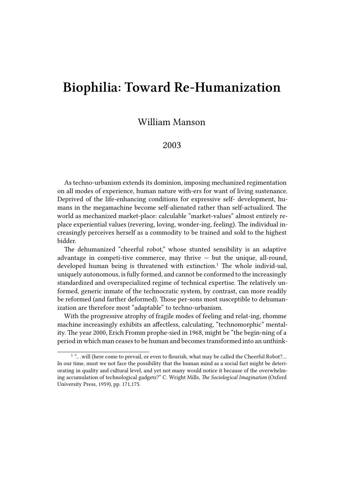## **Biophilia: Toward Re-Humanization**

## William Manson

## 2003

As techno-urbanism extends its dominion, imposing mechanized regimentation on all modes of experience, human nature with-ers for want of living sustenance. Deprived of the life-enhancing conditions for expressive self- development, humans in the megamachine become self-alienated rather than self-actualized. The world as mechanized market-place: calculable "market-values" almost entirely replace experiential values (revering, loving, wonder-ing, feeling). The individual increasingly perceives herself as a commodity to be trained and sold to the highest bidder.

The dehumanized "cheerful robot," whose stunted sensibility is an adaptive advantage in competi-tive commerce, may thrive  $-$  but the unique, all-round, developed human being is threatened with extinction.<sup>1</sup> The whole individ-ual, uniquely autonomous, is fully formed, and cannot be conformed to the increasingly standardized and overspecialized regime of technical expertise. The relatively unformed, generic inmate of the technocratic system, by contrast, can more readily be reformed (and farther deformed). Those per-sons most susceptible to dehumanization are therefore most "adaptable" to techno-urbanism.

With the progressive atrophy of fragile modes of feeling and relat-ing, rhomme machine increasingly exhibits an affectless, calculating, "technomorphic" mentality. The year 2000, Erich Fromm prophe-sied in 1968, might be "the begin-ning of a period in which man ceases to be human and becomes transformed into an unthink-

<sup>&</sup>lt;sup>1</sup> "... will (here come to prevail, or even to flourish, what may be called the Cheerful Robot?... In our time, must we not face the possibility that the human mind as a social fact might be deteriorating in quality and cultural level, and yet not many would notice it because of the overwhelming accumulation of technological gadgets?" C. Wright Mills, *The Sociological Imagination* (Oxford University Press, 1959), pp. 171,175.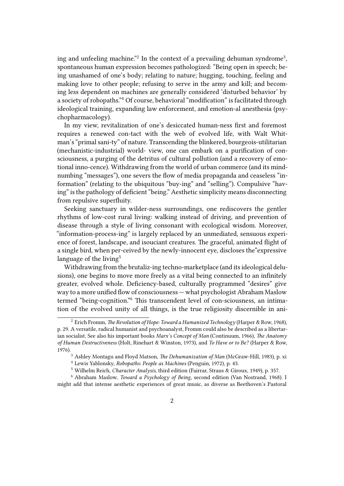ing and unfeeling machine."<sup>2</sup> In the context of a prevailing dehuman syndrome<sup>3</sup>, spontaneous human expression becomes pathologized: "Being open in speech; being unashamed of one's body; relating to nature; hugging, touching, feeling and making love to other people; refusing to serve in the army and kill; and becoming less dependent on machines are generally considered 'disturbed behavior' by a society of robopaths."<sup>4</sup> Of course, behavioral "modification" is facilitated through ideological training, expanding law enforcement, and emotion-al anesthesia (psychopharmacology).

In my view, revitalization of one's desiccated human-ness first and foremost requires a renewed con-tact with the web of evolved life, with Walt Whitman's "primal sani-ty" of nature. Transcending the blinkered, bourgeois-utilitarian (mechanistic-industrial) world- view, one can embark on a purification of consciousness, a purging of the detritus of cultural pollution (and a recovery of emotional inno-cence). Withdrawing from the world of urban commerce (and its mindnumbing "messages"), one severs the flow of media propaganda and ceaseless "information" (relating to the ubiquitous "buy-ing" and "selling"). Compulsive "having" is the pathology of deficient "being." Aesthetic simplicity means disconnecting from repulsive superfluity.

Seeking sanctuary in wilder-ness surroundings, one rediscovers the gentler rhythms of low-cost rural living: walking instead of driving, and prevention of disease through a style of living consonant with ecological wisdom. Moreover, "information-process-ing" is largely replaced by an unmediated, sensuous experience of forest, landscape, and isouciant creatures. The graceful, animated flight of a single bird, when per-ceived by the newly-innocent eye, discloses the"expressive language of the living<sup>5</sup>

Withdrawing from the brutaliz-ing techno-marketplace (and its ideological delusions), one begins to move more freely as a vital being connected to an infinitely greater, evolved whole. Deficiency-based, culturally programmed "desires" give way to a more unified flow of consciousness — what psychologist Abraham Maslow termed "being-cognition."<sup>6</sup> This transcendent level of con-sciousness, an intimation of the evolved unity of all things, is the true religiosity discernible in ani-

<sup>2</sup> Erich Fromm, *The Revolution of Hope: Toward a Humanized Technology* (Harper & Row, 1968), p. 29. A versatile, radical humanist and psychoanalyst, Fromm could also be described as a libertarian socialist. See also his important books *Marx's Concept of Man* (Continuum, 1966), *The Anatomy of Human Destructiveness* (Holt, Rinehart & Winston, 1973), and *To Have or to Be?* (Harper & Row, 1976).

<sup>3</sup> Ashley Montagu and Floyd Matson, *The Dehumanization of Man* (McGraw-Hill, 1983), p. xi

<sup>4</sup> Lewis Yablonsky, *Robopaths: People as Machines* (Penguin, 1972), p. 43.

<sup>5</sup> Wilhelm Reich, *Character Analysis*, third edition (Fairrar, Straus & Giroux, 1949), p. 357.

<sup>6</sup> Abraham Maslow, *Toward a Psychology of Being*, second edition (Van Nostrand, 1968). I might add that intense aesthetic experiences of great music, as diverse as Beethoven's Pastoral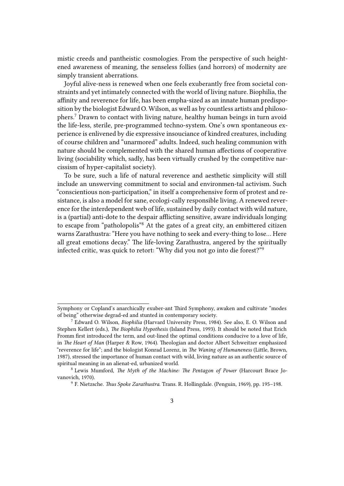mistic creeds and pantheistic cosmologies. From the perspective of such heightened awareness of meaning, the senseless follies (and horrors) of modernity are simply transient aberrations.

Joyful alive-ness is renewed when one feels exuberantly free from societal constraints and yet intimately connected with the world of living nature. Biophilia, the affinity and reverence for life, has been empha-sized as an innate human predisposition by the biologist Edward O. Wilson, as well as by countless artists and philosophers.<sup>7</sup> Drawn to contact with living nature, healthy human beings in turn avoid the life-less, sterile, pre-programmed techno-system. One's own spontaneous experience is enlivened by die expressive insouciance of kindred creatures, including of course children and "unarmored" adults. Indeed, such healing communion with nature should be complemented with the shared human affections of cooperative living (sociability which, sadly, has been virtually crushed by the competitive narcissism of hyper-capitalist society).

To be sure, such a life of natural reverence and aesthetic simplicity will still include an unswerving commitment to social and environmen-tal activism. Such "conscientious non-participation," in itself a comprehensive form of protest and resistance, is also a model for sane, ecologi-cally responsible living. A renewed reverence for the interdependent web of life, sustained by daily contact with wild nature, is a (partial) anti-dote to the despair afflicting sensitive, aware individuals longing to escape from "patholopolis"<sup>8</sup> At the gates of a great city, an embittered citizen warns Zarathustra: "Here you have nothing to seek and every-thing to lose… Here all great emotions decay." The life-loving Zarathustra, angered by the spiritually infected critic, was quick to retort: "Why did you not go into die forest?"<sup>9</sup>

Symphony or Copland's anarchically exuber-ant Third Symphony, awaken and cultivate "modes of being" otherwise degrad-ed and stunted in contemporary society.

<sup>7</sup> Edward O. Wilson, *Biophilia* (Harvard University Press, 1984). See also, E. O. Wilson and Stephen Kellert (eds.), *The Biophilia Hypothesis* (Island Press, 1993). It should be noted that Erich Fromm first introduced the term, and out-lined the optimal conditions conducive to a love of life, in *The Heart of Man* (Harper & Row, 1964). Theologian and doctor Albert Schweitzer emphasized "reverence for life"; and the biologist Konrad Lorenz, in *The Waning of Humaneness* (Little, Brown, 1987), stressed the importance of human contact with wild, living nature as an authentic source of spiritual meaning in an alienat-ed, urbanized world.

<sup>8</sup> Lewis Mumford, *The Myth of the Machine: The Pentagon of Power* (Harcourt Brace Jovanovich, 1970).

<sup>9</sup> F. Nietzsche. *Thus Spoke Zarathustra*. Trans. R. Hollingdale. (Penguin, 1969), pp. 195–198.